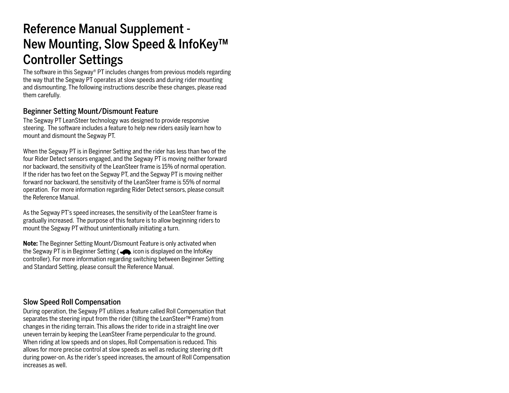# Reference Manual Supplement - New Mounting, Slow Speed & InfoKey™ Controller Settings

The software in this Segway ® PT includes changes from previous models regarding the way that the Segway PT operates at slow speeds and during rider mounting and dismounting. The following instructions describe these changes, please read them carefully.

### Beginner Setting Mount/Dismount Feature

The Segway PT LeanSteer technology was designed to provide responsive steering. The software includes a feature to help new riders easily learn how to mount and dismount the Segway PT.

When the Segway PT is in Beginner Setting and the rider has less than two of the four Rider Detect sensors engaged, and the Segway PT is moving neither forward nor backward, the sensitivity of the LeanSteer frame is 15% of normal operation. If the rider has two feet on the Segway PT, and the Segway PT is moving neither forward nor backward, the sensitivity of the LeanSteer frame is 55% of normal operation. For more information regarding Rider Detect sensors, please consult the Reference Manual.

As the Segway PT's speed increases, the sensitivity of the LeanSteer frame is gradually increased. The purpose of this feature is to allow beginning riders to mount the Segway PT without unintentionally initiating a turn.

**Note:** The Beginner Setting Mount/Dismount Feature is only activated when the Segway PT is in Beginner Setting ( $\bigtriangleup$  icon is displayed on the InfoKey controller). For more information regarding switching between Beginner Setting and Standard Setting, please consult the Reference Manual.

### Slow Speed Roll Compensation

During operation, the Segway PT utilizes a feature called Roll Compensation that separates the steering input from the rider (tilting the LeanSteer™ Frame) from changes in the riding terrain. This allows the rider to ride in a straight line over uneven terrain by keeping the LeanSteer Frame perpendicular to the ground. When riding at low speeds and on slopes, Roll Compensation is reduced. This allows for more precise control at slow speeds as well as reducing steering drift during power-on. As the rider's speed increases, the amount of Roll Compensation increases as well.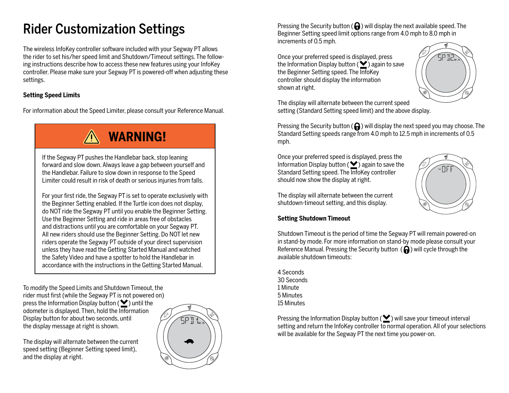# Rider Customization Settings

The wireless InfoKey controller software included with your Segway PT allows the rider to set his/her speed limit and Shutdown/Timeout settings. The following instructions describe how to access these new features using your InfoKey controller. Please make sure your Segway PT is powered-off when adjusting these settings.

### **Setting Speed Limits**

For information about the Speed Limiter, please consult your Reference Manual.

**WARNING!**

If the Segway PT pushes the Handlebar back, stop leaning forward and slow down. Always leave a gap between yourself and the Handlebar. Failure to slow down in response to the Speed Limiter could result in risk of death or serious injuries from falls.

For your first ride, the Segway PT is set to operate exclusively with the Beginner Setting enabled. If the Turtle icon does not display, do NOT ride the Segway PT until you enable the Beginner Setting. Use the Beginner Setting and ride in areas free of obstacles and distractions until you are comfortable on your Segway PT. All new riders should use the Beginner Setting. Do NOT let new riders operate the Segway PT outside of your direct supervision unless they have read the Getting Started Manual and watched the Safety Video and have a spotter to hold the Handlebar in accordance with the instructions in the Getting Started Manual.

To modify the Speed Limits and Shutdown Timeout, the rider must first (while the Segway PT is not powered on) press the Information Display button ( $\blacktriangleright$ ) until the odometer is displayed. Then, hold the Information Display button for about two seconds, until the display message at right is shown.



Pressing the Security button ( $\bigoplus$ ) will display the next available speed. The Beginner Setting speed limit options range from 4.0 mph to 8.0 mph in increments of 0.5 mph.

Once your preferred speed is displayed, press the Information Display button ( $\blacktriangleright$ ) again to save the Beginner Setting speed. The InfoKey controller should display the information shown at right.



The display will alternate between the current speed setting (Standard Setting speed limit) and the above display.

Pressing the Security button ( $\bigcap$ ) will display the next speed you may choose. The Standard Setting speeds range from 4.0 mph to 12.5 mph in increments of 0.5 mph.

Once your preferred speed is displayed, press the Information Display button ( $\blacktriangleright$ ) again to save the Standard Setting speed. The InfoKey controller should now show the display at right.



The display will alternate between the current shutdown-timeout setting, and this display.

#### **Setting Shutdown Timeout**

Shutdown Timeout is the period of time the Segway PT will remain powered-on in stand-by mode. For more information on stand-by mode please consult your Reference Manual. Pressing the Security button  $\left(\bigcap_{i=1}^{\infty}\right)$  will cycle through the available shutdown timeouts:

4 Seconds 30 Seconds 1 Minute 5 Minutes 15 Minutes

Pressing the Information Display button ( $\blacktriangleright$ ) will save your timeout interval setting and return the InfoKey controller to normal operation. All of your selections will be available for the Segway PT the next time you power-on.

The display will alternate between the current speed setting (Beginner Setting speed limit), and the display at right.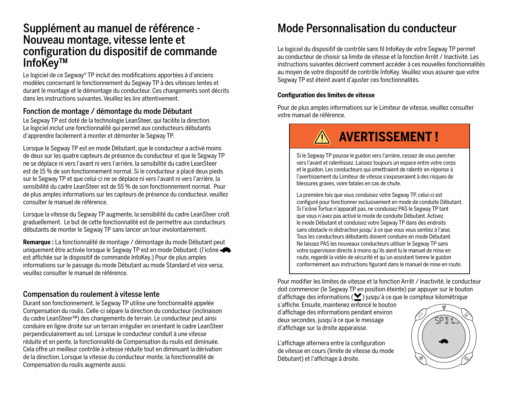## Supplément au manuel de référence - Nouveau montage, vitesse lente et configuration du dispositif de commande InfoKey™

Le logiciel de ce Segway® TP inclut des modifications apportées à d'anciens modèles concernant le fonctionnement du Segway TP à des vitesses lentes et durant le montage et le démontage du conducteur. Ces changements sont décrits dans les instructions suivantes. Veuillez les lire attentivement.

### Fonction de montage / démontage du mode Débutant

Le Segway TP est doté de la technologie LeanSteer, qui facilite la direction. Le logiciel inclut une fonctionnalité qui permet aux conducteurs débutants d'apprendre facilement à monter et démonter le Segway TP.

Lorsque le Segway TP est en mode Débutant, que le conducteur a activé moins de deux sur les quatre capteurs de présence du conducteur et que le Segway TP ne se déplace ni vers l'avant ni vers l'arrière, la sensibilité du cadre LeanSteer est de 15 % de son fonctionnement normal. Si le conducteur a placé deux pieds sur le Segway TP et que celui-ci ne se déplace ni vers l'avant ni vers l'arrière, la sensibilité du cadre LeanSteer est de 55 % de son fonctionnement normal. Pour de plus amples informations sur les capteurs de présence du conducteur, veuillez consulter le manuel de référence.

Lorsque la vitesse du Segway TP augmente, la sensibilité du cadre LeanSteer croît graduellement. Le but de cette fonctionnalité est de permettre aux conducteurs débutants de monter le Segway TP sans lancer un tour involontairement.

**Remarque :** La fonctionnalité de montage / démontage du mode Débutant peut uniquement être activée lorsque le Segway TP est en mode Débutant. (l'icône est affichée sur le dispositif de commande InfoKey.) Pour de plus amples informations sur le passage du mode Débutant au mode Standard et vice versa, veuillez consulter le manuel de référence.

### Compensation du roulement à vitesse lente

Durant son fonctionnement, le Segway TP utilise une fonctionnalité appelée Compensation du roulis. Celle-ci sépare la direction du conducteur (inclinaison du cadre LeanSteer™) des changements de terrain. Le conducteur peut ainsi conduire en ligne droite sur un terrain irrégulier en orientant le cadre LeanSteer perpendiculairement au sol. Lorsque le conducteur conduit à une vitesse réduite et en pente, la fonctionnalité de Compensation du roulis est diminuée. Cela offre un meilleur contrôle à vitesse réduite tout en diminuant la dérivation de la direction. Lorsque la vitesse du conducteur monte, la fonctionnalité de Compensation du roulis augmente aussi.

## Mode Personnalisation du conducteur

Le logiciel du dispositif de contrôle sans fil InfoKey de votre Segway TP permet au conducteur de choisir sa limite de vitesse et la fonction Arrêt / Inactivité. Les instructions suivantes décrivent comment accéder à ces nouvelles fonctionnalités au moyen de votre dispositif de contrôle InfoKey. Veuillez vous assurer que votre Segway TP est éteint avant d'ajuster ces fonctionnalités.

#### **Configuration des limites de vitesse**

Pour de plus amples informations sur le Limiteur de vitesse, veuillez consulter votre manuel de référence.

# **AVERTISSEMENT !**

Si le Segway TP pousse le guidon vers l'arrière, cessez de vous pencher vers l'avant et ralentissez. Laissez toujours un espace entre votre corps et le guidon. Les conducteurs qui omettraient de ralentir en réponse à l'avertissement du Limiteur de vitesse s'exposeraient à des risques de blessures graves, voire fatales en cas de chute.

La première fois que vous conduisez votre Segway TP, celui-ci est configuré pour fonctionner exclusivement en mode de conduite Débutant. Si l'icône Tortue n'apparaît pas, ne conduisez PAS le Segway TP tant que vous n'avez pas activé le mode de conduite Débutant. Activez le mode Débutant et conduisez votre Segway TP dans des endroits sans obstacle ni distraction jusqu' à ce que vous vous sentiez à l'aise. Tous les conducteurs débutants doivent conduire en mode Débutant. Ne laissez PAS les nouveaux conducteurs utiliser le Segway TP sans votre supervision directe à moins qu'ils aient lu le manuel de mise en route, regardé la vidéo de sécurité et qu'un assistant tienne le guidon conformément aux instructions figurant dans le manuel de mise en route.

Pour modifier les limites de vitesse et la fonction Arrêt / Inactivité, le conducteur doit commencer (le Segway TP en position éteinte) par appuyer sur le bouton d'affichage des informations ( $\blacktriangleright$ ) jusqu'à ce que le compteur kilométrique

s'affiche. Ensuite, maintenez enfoncé le bouton d'affichage des informations pendant environ deux secondes, jusqu'à ce que le message d'affichage sur la droite apparaisse.

L'affichage alternera entre la configuration de vitesse en cours (limite de vitesse du mode Débutant) et l'affichage à droite.

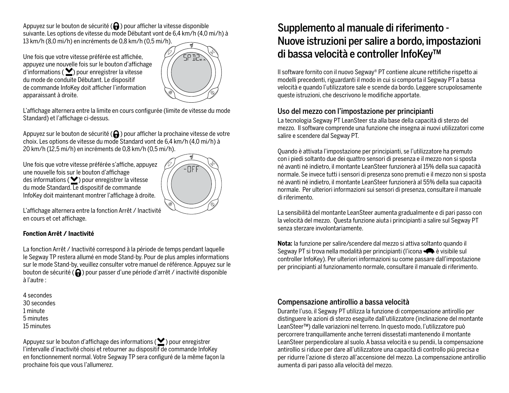Appuyez sur le bouton de sécurité  $\left(\bigcap_{i=1}^n\right)$  pour afficher la vitesse disponible suivante. Les options de vitesse du mode Débutant vont de 6,4 km/h (4,0 mi/h) à 13 km/h (8,0 mi/h) en incréments de 0,8 km/h (0,5 mi/h).

Une fois que votre vitesse préférée est affichée, appuyez une nouvelle fois sur le bouton d'affichage  $d'$ informations ( $\blacktriangleright$ ) pour enregistrer la vitesse du mode de conduite Débutant. Le dispositif de commande InfoKey doit afficher l'information apparaissant à droite.



L'affichage alternera entre la limite en cours configurée (limite de vitesse du mode Standard) et l'affichage ci-dessus.

Appuyez sur le bouton de sécurité  $\left(\bigcap_{n=1}^{\infty}\right)$  pour afficher la prochaine vitesse de votre choix. Les options de vitesse du mode Standard vont de 6,4 km/h (4,0 mi/h) à 20 km/h (12,5 mi/h) en incréments de 0,8 km/h (0,5 mi/h).

Une fois que votre vitesse préférée s'affiche, appuyez une nouvelle fois sur le bouton d'affichage des informations ( $\blacktriangleright$ ) pour enregistrer la vitesse du mode Standard. Le dispositif de commande InfoKey doit maintenant montrer l'affichage à droite.



L'affichage alternera entre la fonction Arrêt / Inactivité en cours et cet affichage.

#### **Fonction Arrêt / Inactivité**

La fonction Arrêt / Inactivité correspond à la période de temps pendant laquelle le Segway TP restera allumé en mode Stand-by. Pour de plus amples informations sur le mode Stand-by, veuillez consulter votre manuel de référence. Appuyez sur le bouton de sécurité  $\left(\bigcap_{i=1}^{\infty}\right)$  pour passer d'une période d'arrêt / inactivité disponible à l'autre :

4 secondes 30 secondes 1 minute 5 minutes 15 minutes

Appuyez sur le bouton d'affichage des informations ( $\bigcirc$ ) pour enregistrer l'intervalle d'inactivité choisi et retourner au dispositif de commande InfoKey en fonctionnement normal. Votre Segway TP sera configuré de la même façon la prochaine fois que vous l'allumerez.

## Supplemento al manuale di riferimento - Nuove istruzioni per salire a bordo, impostazioni di bassa velocità e controller InfoKey™

Il software fornito con il nuovo Segway® PT contiene alcune rettifiche rispetto ai modelli precedenti, riguardanti il modo in cui si comporta il Segway PT a bassa velocità e quando l'utilizzatore sale e scende da bordo. Leggere scrupolosamente queste istruzioni, che descrivono le modifiche apportate.

## Uso del mezzo con l'impostazione per principianti

La tecnologia Segway PT LeanSteer sta alla base della capacità di sterzo del mezzo. Il software comprende una funzione che insegna ai nuovi utilizzatori come salire e scendere dal Segway PT.

Quando è attivata l'impostazione per principianti, se l'utilizzatore ha premuto con i piedi soltanto due dei quattro sensori di presenza e il mezzo non si sposta né avanti né indietro, il montante LeanSteer funzionerà al 15% della sua capacità normale. Se invece tutti i sensori di presenza sono premuti e il mezzo non si sposta né avanti né indietro, il montante LeanSteer funzionerà al 55% della sua capacità normale. Per ulteriori informazioni sui sensori di presenza, consultare il manuale di riferimento.

La sensibilità del montante LeanSteer aumenta gradualmente e di pari passo con la velocità del mezzo. Questa funzione aiuta i principianti a salire sul Segway PT senza sterzare involontariamente.

**Nota:** la funzione per salire/scendere dal mezzo si attiva soltanto quando il Segway PT si trova nella modalità per principianti (l'icona  $\bigoplus$  è visibile sul controller InfoKey). Per ulteriori informazioni su come passare dall'impostazione per principianti al funzionamento normale, consultare il manuale di riferimento.

### Compensazione antirollio a bassa velocità

Durante l'uso, il Segway PT utilizza la funzione di compensazione antirollio per distinguere le azioni di sterzo eseguite dall'utilizzatore (inclinazione del montante LeanSteer™) dalle variazioni nel terreno. In questo modo, l'utilizzatore può percorrere tranquillamente anche terreni dissestati mantenendo il montante LeanSteer perpendicolare al suolo. A bassa velocità e su pendii, la compensazione antirollio si riduce per dare all'utilizzatore una capacità di controllo più precisa e per ridurre l'azione di sterzo all'accensione del mezzo. La compensazione antirollio aumenta di pari passo alla velocità del mezzo.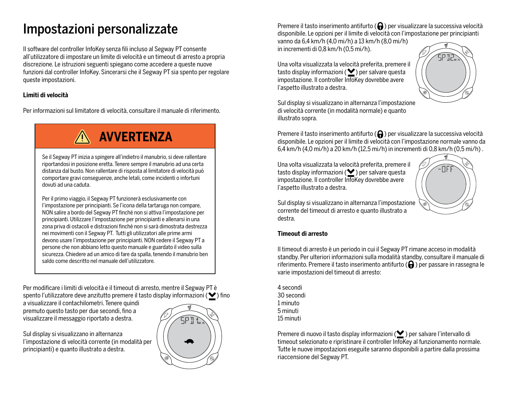# Impostazioni personalizzate

Il software del controller InfoKey senza fili incluso al Segway PT consente all'utilizzatore di impostare un limite di velocità e un timeout di arresto a propria discrezione. Le istruzioni seguenti spiegano come accedere a queste nuove funzioni dal controller InfoKey. Sincerarsi che il Segway PT sia spento per regolare queste impostazioni.

### **Limiti di velocità**

Per informazioni sul limitatore di velocità, consultare il manuale di riferimento.

# **AVVERTENZA**

Se il Segway PT inizia a spingere all'indietro il manubrio, si deve rallentare riportandosi in posizione eretta. Tenere sempre il manubrio ad una certa distanza dal busto. Non rallentare di risposta al limitatore di velocità può comportare gravi conseguenze, anche letali, come incidenti o infortuni dovuti ad una caduta.

Per il primo viaggio, il Segway PT funzionerà esclusivamente con l'impostazione per principianti. Se l'icona della tartaruga non compare, NON salire a bordo del Segway PT finché non si attiva l'impostazione per principianti. Utilizzare l'impostazione per principianti e allenarsi in una zona priva di ostacoli e distrazioni finché non si sarà dimostrata destrezza nei movimenti con il Segway PT. Tutti gli utilizzatori alle prime armi devono usare l'impostazione per principianti. NON cedere il Segway PT a persone che non abbiano letto questo manuale e guardato il video sulla sicurezza. Chiedere ad un amico di fare da spalla, tenendo il manubrio ben saldo come descritto nel manuale dell'utilizzatore.

Per modificare i limiti di velocità e il timeout di arresto, mentre il Segway PT è spento l'utilizzatore deve anzitutto premere il tasto display informazioni ( $\blacktriangledown$ ) fino

a visualizzare il contachilometri. Tenere quindi premuto questo tasto per due secondi, fino a visualizzare il messaggio riportato a destra.

Sul display si visualizzano in alternanza l'impostazione di velocità corrente (in modalità per principianti) e quanto illustrato a destra.



Premere il tasto inserimento antifurto  $\left(\bigcap\right)$  per visualizzare la successiva velocità disponibile. Le opzioni per il limite di velocità con l'impostazione per principianti

vanno da 6,4 km/h (4,0 mi/h) a 13 km/h (8,0 mi/h) in incrementi di 0,8 km/h (0,5 mi/h).

Una volta visualizzata la velocità preferita, premere il tasto display informazioni ( $\blacktriangleright$ ) per salvare questa impostazione. Il controller InfoKey dovrebbe avere l'aspetto illustrato a destra.



Sul display si visualizzano in alternanza l'impostazione di velocità corrente (in modalità normale) e quanto illustrato sopra.

Premere il tasto inserimento antifurto  $\left(\bigcap_{i=1}^{\infty}\right)$  per visualizzare la successiva velocità disponibile. Le opzioni per il limite di velocità con l'impostazione normale vanno da 6,4 km/h (4,0 mi/h) a 20 km/h (12,5 mi/h) in incrementi di 0,8 km/h (0,5 mi/h) .

Una volta visualizzata la velocità preferita, premere il tasto display informazioni ( $\blacktriangleright$ ) per salvare questa impostazione. Il controller InfoKey dovrebbe avere l'aspetto illustrato a destra.



Sul display si visualizzano in alternanza l'impostazione corrente del timeout di arresto e quanto illustrato a destra.

#### **Timeout di arresto**

Il timeout di arresto è un periodo in cui il Segway PT rimane acceso in modalità standby. Per ulteriori informazioni sulla modalità standby, consultare il manuale di riferimento. Premere il tasto inserimento antifurto  $\left(\bigcap_{i=1}^{\infty}\right)$  per passare in rassegna le varie impostazioni del timeout di arresto:

4 secondi 30 secondi 1 minuto 5 minuti 15 minuti

Premere di nuovo il tasto display informazioni ( $\blacktriangleright$ ) per salvare l'intervallo di timeout selezionato e ripristinare il controller InfoKey al funzionamento normale. Tutte le nuove impostazioni eseguite saranno disponibili a partire dalla prossima riaccensione del Segway PT.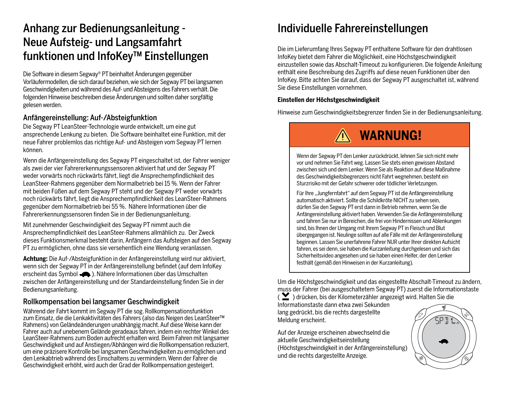## Anhang zur Bedienungsanleitung - Neue Aufsteig- und Langsamfahrt funktionen und InfoKey™ Einstellungen

Die Software in diesem Segway ® PT beinhaltet Änderungen gegenüber Vorläufermodellen, die sich darauf beziehen, wie sich der Segway PT bei langsamen Geschwindigkeiten und während des Auf- und Absteigens des Fahrers verhält. Die folgenden Hinweise beschreiben diese Änderungen und sollten daher sorgfältig gelesen werden.

### Anfängereinstellung: Auf-/Absteigfunktion

Die Segway PT LeanSteer-Technologie wurde entwickelt, um eine gut ansprechende Lenkung zu bieten. Die Software beinhaltet eine Funktion, mit der neue Fahrer problemlos das richtige Auf- und Absteigen vom Segway PT lernen können.

Wenn die Anfängereinstellung des Segway PT eingeschaltet ist, der Fahrer weniger als zwei der vier Fahrererkennungssensoren aktiviert hat und der Segway PT weder vorwärts noch rückwärts fährt, liegt die Ansprechempfindlichkeit des LeanSteer-Rahmens gegenüber dem Normalbetrieb bei 15 %. Wenn der Fahrer mit beiden Füßen auf dem Segway PT steht und der Segway PT weder vorwärts noch rückwärts fährt, liegt die Ansprechempfindlichkeit des LeanSteer-Rahmens gegenüber dem Normalbetrieb bei 55 %. Nähere Informationen über die Fahrererkennungssensoren finden Sie in der Bedienungsanleitung.

Mit zunehmender Geschwindigkeit des Segway PT nimmt auch die Ansprechempfindlichkeit des LeanSteer-Rahmens allmählich zu. Der Zweck dieses Funktionsmerkmal besteht darin, Anfängern das Aufsteigen auf den Segway PT zu ermöglichen, ohne dass sie versehentlich eine Wendung veranlassen.

**Achtung:** Die Auf-/Absteigfunktion in der Anfängereinstellung wird nur aktiviert, wenn sich der Segway PT in der Anfängereinstellung befindet (auf dem InfoKey erscheint das Symbol ). Nähere Informationen über das Umschalten zwischen der Anfängereinstellung und der Standardeinstellung finden Sie in der Bedienungsanleitung.

### Rollkompensation bei langsamer Geschwindigkeit

Während der Fahrt kommt im Segway PT die sog. Rollkompensationsfunktion zum Einsatz, die die Lenkaktivitäten des Fahrers (also das Neigen des LeanSteer™ Rahmens) von Geländeänderungen unabhängig macht. Auf diese Weise kann der Fahrer auch auf unebenem Gelände geradeaus fahren, indem ein rechter Winkel des LeanSteer-Rahmens zum Boden aufrecht erhalten wird. Beim Fahren mit langsamer Geschwindigkeit und auf Anstiegen/Abhängen wird die Rollkompensation reduziert, um eine präzisere Kontrolle bei langsamen Geschwindigkeiten zu ermöglichen und den Lenkabtrieb während des Einschaltens zu vermindern. Wenn der Fahrer die Geschwindigkeit erhöht, wird auch der Grad der Rollkompensation gesteigert.

## Individuelle Fahrereinstellungen

Die im Lieferumfang Ihres Segway PT enthaltene Software für den drahtlosen InfoKey bietet dem Fahrer die Möglichkeit, eine Höchstgeschwindigkeit einzustellen sowie das Abschalt-Timeout zu konfigurieren. Die folgende Anleitung enthält eine Beschreibung des Zugriffs auf diese neuen Funktionen über den InfoKey. Bitte achten Sie darauf, dass der Segway PT ausgeschaltet ist, während Sie diese Einstellungen vornehmen.

#### **Einstellen der Höchstgeschwindigkeit**

Hinweise zum Geschwindigkeitsbegrenzer finden Sie in der Bedienungsanleitung.

# **WARNUNG!**

Wenn der Segway PT den Lenker zurückdrückt, lehnen Sie sich nicht mehr vor und nehmen Sie Fahrt weg. Lassen Sie stets einen gewissen Abstand zwischen sich und dem Lenker. Wenn Sie als Reaktion auf diese Maßnahme des Geschwindigkeitsbegrenzers nicht Fahrt wegnehmen, besteht ein Sturzrisiko mit der Gefahr schwerer oder tödlicher Verletzungen.

Für Ihre "Jungfernfahrt" auf dem Segway PT ist die Anfängereinstellung automatisch aktiviert. Sollte die Schildkröte NICHT zu sehen sein, dürfen Sie den Segway PT erst dann in Betrieb nehmen, wenn Sie die Anfängereinstellung aktiviert haben. Verwenden Sie die Anfängereinstellung und fahren Sie nur in Bereichen, die frei von Hindernissen und Ablenkungen sind, bis Ihnen der Umgang mit Ihrem Segway PT in Fleisch und Blut übergegangen ist. Neulinge sollten auf alle Fälle mit der Anfängereinstellung beginnen. Lassen Sie unerfahrene Fahrer NUR unter Ihrer direkten Aufsicht fahren, es sei denn, sie haben die Kurzanleitung durchgelesen und sich das Sicherheitsvideo angesehen und sie haben einen Helfer, der den Lenker festhält (gemäß den Hinweisen in der Kurzanleitung).

Um die Höchstgeschwindigkeit und das eingestellte Abschalt-Timeout zu ändern, muss der Fahrer (bei ausgeschaltetem Segway PT) zuerst die Informationstaste

( $\sum$ ) drücken, bis der Kilometerzähler angezeigt wird. Halten Sie die Informationstaste dann etwa zwei Sekunden lang gedrückt, bis die rechts dargestellte Meldung erscheint.

Auf der Anzeige erscheinen abwechselnd die aktuelle Geschwindigkeitseinstellung (Höchstgeschwindigkeit in der Anfängereinstellung) und die rechts dargestellte Anzeige.

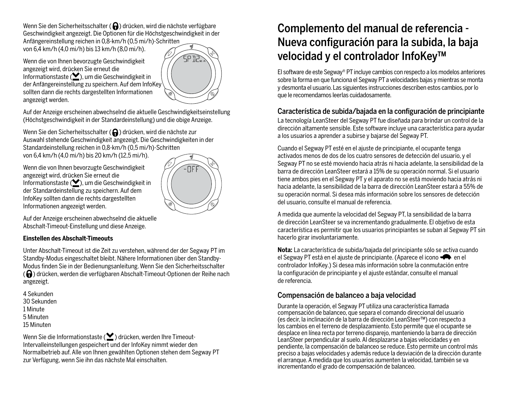Wenn Sie den Sicherheitsschalter ( $\bigodot$ ) drücken, wird die nächste verfügbare Geschwindigkeit angezeigt. Die Optionen für die Höchstgeschwindigkeit in der

Anfängereinstellung reichen in 0,8-km/h (0,5 mi/h)-Schritten von 6,4 km/h (4,0 mi/h) bis 13 km/h (8,0 mi/h).

Wenn die von Ihnen bevorzugte Geschwindigkeit angezeigt wird, drücken Sie erneut die Informationstaste ( $\blacktriangleright$ ), um die Geschwindigkeit in der Anfängereinstellung zu speichern. Auf dem InfoKey sollten dann die rechts dargestellten Informationen angezeigt werden.



Auf der Anzeige erscheinen abwechselnd die aktuelle Geschwindigkeitseinstellung (Höchstgeschwindigkeit in der Standardeinstellung) und die obige Anzeige.

Wenn Sie den Sicherheitsschalter ( $\bigcap$ ) drücken, wird die nächste zur Auswahl stehende Geschwindigkeit angezeigt. Die Geschwindigkeiten in der Standardeinstellung reichen in 0,8-km/h (0,5 mi/h)-Schritten von 6,4 km/h (4,0 mi/h) bis 20 km/h (12,5 mi/h).

Wenn die von Ihnen bevorzugte Geschwindigkeit angezeigt wird, drücken Sie erneut die Informationstaste ( $\blacktriangleright$ ), um die Geschwindigkeit in der Standardeinstellung zu speichern. Auf dem InfoKey sollten dann die rechts dargestellten Informationen angezeigt werden.



Auf der Anzeige erscheinen abwechselnd die aktuelle Abschalt-Timeout-Einstellung und diese Anzeige.

#### **Einstellen des Abschalt-Timeouts**

Unter Abschalt-Timeout ist die Zeit zu verstehen, während der der Segway PT im Standby-Modus eingeschaltet bleibt. Nähere Informationen über den Standby-Modus finden Sie in der Bedienungsanleitung. Wenn Sie den Sicherheitsschalter  $\mathcal{L}(\Theta)$  drücken, werden die verfügbaren Abschalt-Timeout-Optionen der Reihe nach angezeigt.

4 Sekunden 30 Sekunden 1 Minute 5 Minuten 15 Minuten

Wenn Sie die Informationstaste ( $\blacktriangleright$ ) drücken, werden Ihre Timeout-Intervalleinstellungen gespeichert und der InfoKey nimmt wieder den Normalbetrieb auf. Alle von Ihnen gewählten Optionen stehen dem Segway PT zur Verfügung, wenn Sie ihn das nächste Mal einschalten.

## Complemento del manual de referencia - Nueva configuración para la subida, la baja velocidad y el controlador InfoKey™

El software de este Segway ® PT incluye cambios con respecto a los modelos anteriores sobre la forma en que funciona el Segway PT a velocidades bajas y mientras se monta y desmonta el usuario. Las siguientes instrucciones describen estos cambios, por lo que le recomendamos leerlas cuidadosamente.

## Característica de subida/bajada en la configuración de principiante

La tecnología LeanSteer del Segway PT fue diseñada para brindar un control de la dirección altamente sensible. Este software incluye una característica para ayudar a los usuarios a aprender a subirse y bajarse del Segway PT.

Cuando el Segway PT esté en el ajuste de principiante, el ocupante tenga activados menos de dos de los cuatro sensores de detección del usuario, y el Segway PT no se esté moviendo hacia atrás ni hacia adelante, la sensibilidad de la barra de dirección LeanSteer estará a 15% de su operación normal. Si el usuario tiene ambos pies en el Segway PT y el aparato no se está moviendo hacia atrás ni hacia adelante, la sensibilidad de la barra de dirección LeanSteer estará a 55% de su operación normal. Si desea más información sobre los sensores de detección del usuario, consulte el manual de referencia.

A medida que aumente la velocidad del Segway PT, la sensibilidad de la barra de dirección LeanSteer se va incrementando gradualmente. El objetivo de esta característica es permitir que los usuarios principiantes se suban al Segway PT sin hacerlo girar involuntariamente.

**Nota:** La característica de subida/bajada del principiante sólo se activa cuando el Segway PT está en el ajuste de principiante. (Aparece el icono  $\bullet\bullet$  en el controlador InfoKey.) Si desea más información sobre la conmutación entre la configuración de principiante y el ajuste estándar, consulte el manual de referencia.

## Compensación de balanceo a baja velocidad

Durante la operación, el Segway PT utiliza una característica llamada compensación de balanceo, que separa el comando direccional del usuario (es decir, la inclinación de la barra de dirección LeanSteer™) con respecto a los cambios en el terreno de desplazamiento. Esto permite que el ocupante se desplace en línea recta por terreno disparejo, manteniendo la barra de dirección LeanSteer perpendicular al suelo. Al desplazarse a bajas velocidades y en pendiente, la compensación de balanceo se reduce. Esto permite un control más preciso a bajas velocidades y además reduce la desviación de la dirección durante el arranque. A medida que los usuarios aumenten la velocidad, también se va incrementando el grado de compensación de balanceo.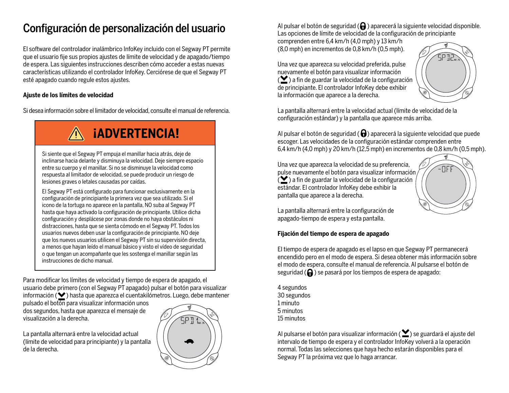## Configuración de personalización del usuario

El software del controlador inalámbrico InfoKey incluido con el Segway PT permite que el usuario fije sus propios ajustes de límite de velocidad y de apagado/tiempo de espera. Las siguientes instrucciones describen cómo acceder a estas nuevas características utilizando el controlador InfoKey. Cerciórese de que el Segway PT esté apagado cuando regule estos ajustes.

#### **Ajuste de los límites de velocidad**

Si desea información sobre el limitador de velocidad, consulte el manual de referencia.

# **¡ADVERTENCIA!**

Si siente que el Segway PT empuja el manillar hacia atrás, deje de inclinarse hacia delante y disminuya la velocidad. Deje siempre espacio entre su cuerpo y el manillar. Si no se disminuye la velocidad como respuesta al limitador de velocidad, se puede producir un riesgo de lesiones graves o letales causadas por caídas.

El Segway PT está configurado para funcionar exclusivamente en la configuración de principiante la primera vez que sea utilizado. Si el icono de la tortuga no aparece en la pantalla, NO suba al Segway PT hasta que haya activado la configuración de principiante. Utilice dicha configuración y desplácese por zonas donde no haya obstáculos ni distracciones, hasta que se sienta cómodo en el Segway PT. Todos los usuarios nuevos deben usar la configuración de principiante. NO deje que los nuevos usuarios utilicen el Segway PT sin su supervisión directa, a menos que hayan leído el manual básico y visto el vídeo de seguridad o que tengan un acompañante que les sostenga el manillar según las instrucciones de dicho manual.

Para modificar los límites de velocidad y tiempo de espera de apagado, el usuario debe primero (con el Segway PT apagado) pulsar el botón para visualizar  $information$  ) hasta que aparezca el cuentakilómetros. Luego, debe mantener

pulsado el botón para visualizar información unos dos segundos, hasta que aparezca el mensaje de visualización a la derecha.

La pantalla alternará entre la velocidad actual (límite de velocidad para principiante) y la pantalla de la derecha.



Al pulsar el botón de seguridad  $\left(\bigcap\right)$  aparecerá la siguiente velocidad disponible. Las opciones de límite de velocidad de la configuración de principiante

comprenden entre 6,4 km/h (4,0 mph) y 13 km/h (8,0 mph) en incrementos de 0,8 km/h (0,5 mph).

Una vez que aparezca su velocidad preferida, pulse nuevamente el botón para visualizar información  $\left( \sum_{i=1}^{\infty} \right)$  a fin de guardar la velocidad de la configuración de principiante. El controlador InfoKey debe exhibir la información que aparece a la derecha.



La pantalla alternará entre la velocidad actual (límite de velocidad de la configuración estándar) y la pantalla que aparece más arriba.

Al pulsar el botón de seguridad ( $\bigoplus$ ) aparecerá la siguiente velocidad que puede escoger. Las velocidades de la configuración estándar comprenden entre 6,4 km/h (4,0 mph) y 20 km/h (12,5 mph) en incrementos de 0,8 km/h (0,5 mph).

Una vez que aparezca la velocidad de su preferencia, pulse nuevamente el botón para visualizar información  $\mathcal{L}$ ) a fin de guardar la velocidad de la configuración estándar. El controlador InfoKey debe exhibir la pantalla que aparece a la derecha.



La pantalla alternará entre la configuración de apagado-tiempo de espera y esta pantalla.

#### **Fijación del tiempo de espera de apagado**

El tiempo de espera de apagado es el lapso en que Segway PT permanecerá encendido pero en el modo de espera. Si desea obtener más información sobre el modo de espera, consulte el manual de referencia. Al pulsarse el botón de seguridad  $\left(\bigoplus\right)$  se pasará por los tiempos de espera de apagado:

4 segundos 30 segundos 1 minuto 5 minutos 15 minutos

Al pulsarse el botón para visualizar información ( $\sum$ ) se guardará el ajuste del intervalo de tiempo de espera y el controlador InfoKey volverá a la operación normal. Todas las selecciones que haya hecho estarán disponibles para el Segway PT la próxima vez que lo haga arrancar.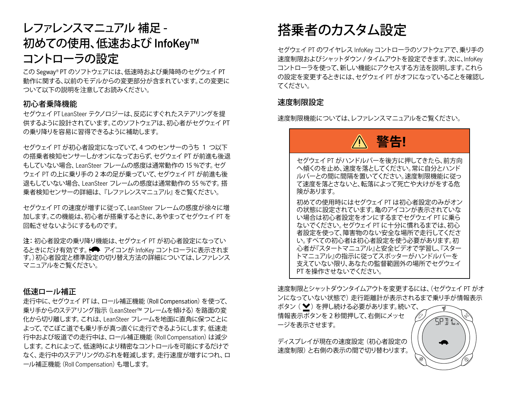## レファレンスマニュアル 補足 - 初めての使用、低速および InfoKey™ コントローラの設定

この Segway ® PT のソフトウェアには、低速時および乗降時のセグウェイ PT 動作に関する、以前のモデルからの変更部分が含まれています。この変更に ついて以下の説明を注意してお読みください。

### 初心者乗降機能

セグウェイ PT LeanSteer テクノロジーは、反応にすぐれたステアリングを提 供するように設計されています。このソフトウェアは、初心者がセグウェイ PT の乗り降りを容易に習得できるように補助します。

セグウェイ PT が初心者設定になっていて、4 つのセンサーのうち 1 つ以下 の搭乗者検知センサーしかオンになっておらず、セグウェイ PT が前進も後退 もしていない場合、LeanSteer フレームの感度は通常動作の 15 %です。セグ ウェイ PT の上に乗り手の 2 本の足が乗っていて、セグウェイ PT が前進も後 退もしていない場合、LeanSteer フレームの感度は通常動作の 55 %です。搭 乗者検知センサーの詳細は、『レファレンスマニュアル』をご覧ください。

セグウェイ PT の速度が増すに従って、LeanSteer フレームの感度が徐々に増 加します。この機能は、初心者が搭乗するときに、あやまってセグウェイ PT を 回転させないようにするものです。

注: 初心者設定の乗り降り機能は、セグウェイ PT が初心者設定になってい るときにだけ有効です。(← アイコンが InfoKey コントローラに表示されま す。)初心者設定と標準設定の切り替え方法の詳細については、レファレンス マニュアルをご覧ください。

### 低速ロール補正

走行中に、セグウェイ PT は、ロール補正機能(Roll Compensation)を使って、 乗り手からのステアリング指示(LeanSteer™ フレームを傾ける)を路面の変 化から切り離します。これは、LeanSteer フレームを地面に直角に保つことに よって、でこぼこ道でも乗り手が真っ直ぐに走行できるようにします。低速走 行中および坂道での走行中は、ロール補正機能 (Roll Compensation) は減少 します。これによって、低速時により精密なコントロールを可能にするだけで なく、走行中のステアリングのぶれを軽減します。走行速度が増すにつれ、ロ ール補正機能(Roll Compensation)も増します。

# 搭乗者のカスタム設定

セグウェイ PT のワイヤレス InfoKey コントローラのソフトウェアで、乗り手の 速度制限およびシャットダウン / タイムアウトを設定できます。次に、InfoKey コントローラを使って、新しい機能にアクセスする方法を説明します。これら の設定を変更するときには、セグウェイ PT がオフになっていることを確認し てください。

### 速度制限設定

速度制限機能については、レファレンスマニュアルをご覧ください。

# **警告!**

セグウェイ PT がハンドルバーを後方に押してきたら、前方向 へ傾くのを止め、速度を落としてください。常に自分とハンド ルバーとの間に間隔を置いてください。速度制限機能に従っ て速度を落とさないと、転落によって死亡や大けがをする危 険があります。

初めての使用時にはセグウェイ PT は初心者設定のみがオン の状態に設定されています。亀のアイコンが表示されていな い場合は初心者設定をオンにするまでセグウェイ PT に乗ら ないでください。セグウェイ PT に十分に慣れるまでは、初心 者設定を使って、障害物のない安全な場所で走行してくださ い。すべての初心者は初心者設定を使う必要があります。初 心者が『スタートマニュアル』と安全ビデオで学習し、『スター トマニュアル』の指示に従ってスポッターがハンドルバーを 支えていない限り、あなたの監督範囲外の場所でセグウェイ PT を操作させないでください。

速度制限とシャットダウンタイムアウトを変更するには、(セグウェイ PT がオ ンになっていない状態で) 走行距離計が表示されるまで乗り手が情報表示

ボタン (♥) を押し続ける必要があります。続いて、 情報表示ボタンを 2 秒間押して、右側にメッセ ージを表示させます。

ディスプレイが現在の速度設定 (初心者設定の 速度制限) と右側の表示の間で切り替わります。

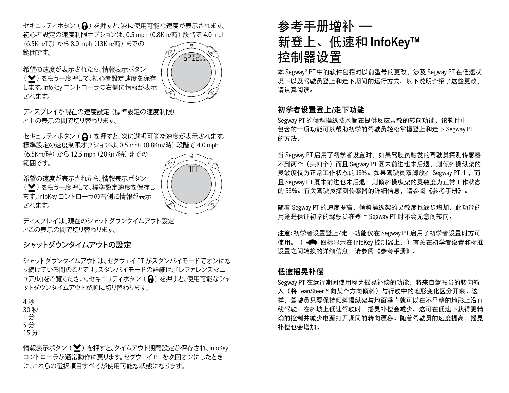セキュリティボタン (A) を押すと、次に使用可能な速度が表示されます。 初心者設定の速度制限オプションは、0.5 mph (0.8Km/時) 段階で 4.0 mph

(6.5Km/時) から 8.0 mph (13Km/時) までの 範囲です。

希望の速度が表示されたら、情報表示ボタン

(♥) をもう一度押して、初心者設定速度を保存 します。InfoKey コントローラの右側に情報が表示 されます。



ディスプレイが現在の速度設定 (標準設定の速度制限) と上の表示の間で切り替わります。

セキュリティボタン (A) を押すと、次に選択可能な速度が表示されます。 標準設定の速度制限オプションは、0.5 mph (0.8Km/時) 段階で 4.0 mph

(6.5Km/時) から 12.5 mph (20Km/時) までの 範囲です。

希望の速度が表示されたら、情報表示ボタン (♥) をもう一度押して、標準設定速度を保存し ます。InfoKey コントローラの右側に情報が表示 されます。

ディスプレイは、現在のシャットダウンタイムアウト設定 とこの表示の間で切り替わります。

## シャットダウンタイムアウトの設定

シャットダウンタイムアウトは、セグウェイ PT がスタンバイモードでオンにな り続けている間のことです。スタンバイモードの詳細は、『レファレンスマニ ュアル』をご覧ください。セキュリティボタン (A)を押すと、使用可能なシャ ットダウンタイムアウトが順に切り替わります。

4 秒 30 秒

1 分

- 5 分
- 15 分

情報表示ボタン ( $\blacktriangleright$ ) を押すと、タイムアウト期間設定が保存され、InfoKey コントローラが通常動作に戻ります。セグウェイ PT を次回オンにしたとき に、これらの選択項目すべてが使用可能な状態になります。

# 参考手册增补 — 新登上、低速和 InfoKey™ 控制器设置

本 Segway ® PT 中的软件包括对以前型号的更改,涉及 Segway PT 在低速状 况下以及驾驶员登上和走下期间的运行方式。以下说明介绍了这些更改, 请认真阅读。

## 初学者设置登上/走下功能

Segway PT 的倾斜操纵技术旨在提供反应灵敏的转向功能。该软件中 包含的一项功能可以帮助初学的驾驶员轻松掌握登上和走下 Segway PT 的方法。

当 Segway PT 启用了初学者设置时, 如果驾驶员触发的驾驶员探测传感器 不到两个(共四个)而且 Segway PT 既未前进也未后退,则倾斜操纵架的 灵敏度仅为正常工作状态的 15%。如果驾驶员双脚放在 Segway PT 上,而 且 Segway PT 既未前进也未后退, 则倾斜操纵架的灵敏度为正常工作状态 的 55%。有关驾驶员探测传感器的详细信息,请参阅《参考手册》。

随着 Segway PT 的速度提高,倾斜操纵架的灵敏度也逐步增加。此功能的 用途是保证初学的驾驶员在登上 Segway PT 时不会无意间转向。

注意**:** 初学者设置登上/走下功能仅在 Segway PT 启用了初学者设置时方可 使用。( 图标显示在 InfoKey 控制器上。)有关在初学者设置和标准 设置之间转换的详细信息,请参阅《参考手册》。

## 低速摇晃补偿

Segway PT 在运行期间使用称为摇晃补偿的功能,将来自驾驶员的转向输 入(将 LeanSteer™ 向某个方向倾斜)与行驶中的地形变化区分开来。这 样,驾驶员只要保持倾斜操纵架与地面垂直就可以在不平整的地形上沿直 线驾驶。在斜坡上低速驾驶时,摇晃补偿会减少。这可在低速下获得更精 确的控制并减少电源打开期间的转向漂移。随着驾驶员的速度提高,摇晃 补偿也会增加。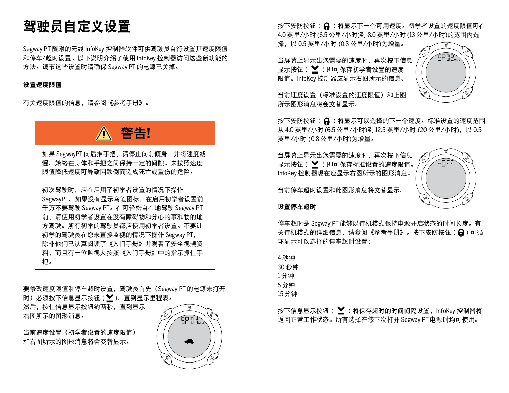# 驾驶员自定义设置

Segway PT 随附的无线 InfoKey 控制器软件可供驾驶员自行设置其速度限值 和停车/超时设置。以下说明介绍了使用 InfoKey 控制器访问这些新功能的 方法。调节这些设置时请确保 Segway PT 的电源已关掉。

#### 设置速度限值

有关速度限值的信息,请参阅《参考手册》。



要修改速度限值和停车超时设置,驾驶员首先(Segway PT 的电源未打开 时)必须按下信息显示按钮 (♥), 直到显示里程表。 然后,按住信息显示按钮约两秒,直到显示 右图所示的图形消息。

当前速度设置(初学者设置的速度限值) 和右图所示的图形消息将会交替显示。



按下安防按钮 ( 2 ) 将显示下一个可用速度。初学者设置的速度限值可在 4.0 英里/小时 (6.5 公里/小时)到 8.0 英里/小时 (13 公里/小时)的范围内选

择,以 0.5 英里/小时 (0.8 公里/小时)为增量。

当屏幕上显示出您需要的速度时,再次按下信息 显示按钮( ♥ ) 即可保存初学者设置的速度 限值。InfoKey 控制器应显示右图所示的信息。



当前速度设置(标准设置的速度限值)和上图 所示图形消息将会交替显示。

按下安防按钮 ( 2 ) 将显示可以选择的下一个速度。标准设置的速度范围 从 4.0 英里/小时 (6.5 公里/小时)到 12.5 英里/小时 (20 公里/小时), 以 0.5 英里/小时 (0.8 公里/小时)为增量。

当屏幕上显示出您需要的速度时,再次按下信息 显示按钮 (  $\blacktriangleright$  ) 即可保存标准设置的速度限值。 InfoKey 控制器现在应显示右图所示的图形消息。

当前停车超时设置和此图形消息将交替显示。



设置停车超时

停车超时是 Segway PT 能够以待机模式保持电源开启状态的时间长度。有 关待机模式的详细信息,请参阅《参考手册》。按下安防按钮 ( Q ) 可循 环显示可以选择的停车超时设置:

| 4 秒钟  |  |
|-------|--|
| 30 秒钟 |  |
| 1分钟   |  |
| 5 分钟  |  |
| 15 分钟 |  |
|       |  |

按下信息显示按钮( $\sum$ ) 将保存超时的时间间隔设置, InfoKey 控制器将 返回正常工作状态。所有选择在您下次打开 Segway PT 电源时均可使用。